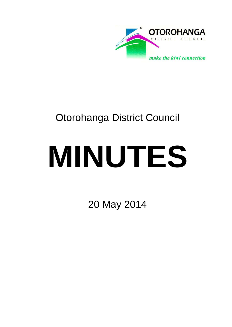

# Otorohanga District Council

# **MINUTES**

20 May 2014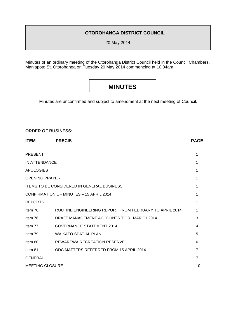### **OTOROHANGA DISTRICT COUNCIL**

20 May 2014

Minutes of an ordinary meeting of the Otorohanga District Council held in the Council Chambers, Maniapoto St, Otorohanga on Tuesday 20 May 2014 commencing at 10.04am.

# **MINUTES**

Minutes are unconfirmed and subject to amendment at the next meeting of Council.

#### **ORDER OF BUSINESS:**

| <b>ITEM</b>                                       | <b>PRECIS</b>                                          | <b>PAGE</b>    |
|---------------------------------------------------|--------------------------------------------------------|----------------|
| <b>PRESENT</b>                                    |                                                        | 1              |
| IN ATTENDANCE                                     |                                                        | 1              |
| <b>APOLOGIES</b>                                  |                                                        | 1              |
| <b>OPENING PRAYER</b>                             |                                                        | 1              |
| <b>ITEMS TO BE CONSIDERED IN GENERAL BUSINESS</b> |                                                        | 1              |
| CONFIRMATION OF MINUTES - 15 APRIL 2014           |                                                        |                |
| <b>REPORTS</b>                                    |                                                        | 1              |
| Item 78                                           | ROUTINE ENGINEERING REPORT FROM FEBRUARY TO APRIL 2014 | 1              |
| Item 76                                           | DRAFT MANAGEMENT ACCOUNTS TO 31 MARCH 2014             | 3              |
| Item 77                                           | <b>GOVERNANCE STATEMENT 2014</b>                       | 4              |
| Item 79                                           | <b>WAIKATO SPATIAL PLAN</b>                            | 5              |
| Item $80$                                         | REWAREWA RECREATION RESERVE                            | 6              |
| Item 81                                           | ODC MATTERS REFERRED FROM 15 APRIL 2014                | $\overline{7}$ |
| <b>GENERAL</b>                                    |                                                        | $\overline{7}$ |
| <b>MEETING CLOSURE</b>                            |                                                        | 10             |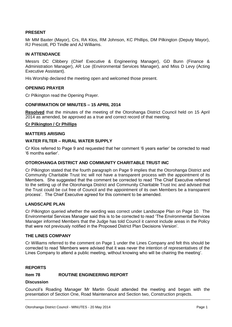#### **PRESENT**

Mr MM Baxter (Mayor), Crs, RA Klos, RM Johnson, KC Phillips, DM Pilkington (Deputy Mayor), RJ Prescott, PD Tindle and AJ Williams.

#### **IN ATTENDANCE**

Messrs DC Clibbery (Chief Executive & Engineering Manager), GD Bunn (Finance & Administration Manager), AR Loe (Environmental Services Manager), and Miss D Levy (Acting Executive Assistant).

His Worship declared the meeting open and welcomed those present.

#### **OPENING PRAYER**

Cr Pilkington read the Opening Prayer.

#### **CONFIRMATION OF MINUTES – 15 APRIL 2014**

**Resolved** that the minutes of the meeting of the Otorohanga District Council held on 15 April 2014 as amended, be approved as a true and correct record of that meeting.

#### **Cr Pilkington / Cr Phillips**

#### **MATTERS ARISING**

#### **WATER FILTER – RURAL WATER SUPPLY**

Cr Klos referred to Page 9 and requested that her comment '6 years earlier' be corrected to read '6 months earlier'.

#### **OTOROHANGA DISTRICT AND COMMUNITY CHARITABLE TRUST INC**

Cr Pilkington stated that the fourth paragraph on Page 9 implies that the Otorohanga District and Community Charitable Trust Inc will not have a transparent process with the appointment of its Members. She suggested that the comment be corrected to read 'The Chief Executive referred to the setting up of the Otorohanga District and Community Charitable Trust Inc and advised that the Trust could be cut free of Council and the appointment of its own Members be a transparent process'. The Chief Executive agreed for this comment to be amended.

#### **LANDSCAPE PLAN**

Cr Pilkington queried whether the wording was correct under Landscape Plan on Page 10. The Environmental Services Manager said this is to be corrected to read 'The Environmental Services Manager informed Members that the Judge has told Council it cannot include areas in the Policy that were not previously notified in the Proposed District Plan Decisions Version'.

#### **THE LINES COMPANY**

Cr Williams referred to the comment on Page 1 under the Lines Company and felt this should be corrected to read 'Members were advised that it was never the intention of representatives of the Lines Company to attend a public meeting, without knowing who will be chairing the meeting'.

#### **REPORTS**

#### **Item 78 ROUTINE ENGINEERING REPORT**

#### **Discussion**

Council's Roading Manager Mr Martin Gould attended the meeting and began with the presentation of Section One, Road Maintenance and Section two, Construction projects.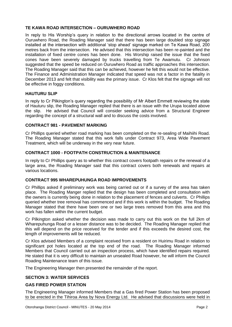#### **TE KAWA ROAD INTERSECTION – OURUWHERO ROAD**

In reply to His Worship's query in relation to the directional arrows located in the centre of Ouruwhero Road, the Roading Manager said that there has been large doubled stop signage installed at the intersection with additional 'stop ahead' signage marked on Te Kawa Road, 200 metres back from the intersection. He advised that this intersection has been re-painted and the installation of fixed centre cones has been done. His Worship raised the issue that the fixed cones have been severely damaged by trucks travelling from Te Awamutu. Cr Johnson suggested that the speed be reduced on Ouruwhero Road as traffic approaches this intersection. The Roading Manager said that this can be achieved, however he felt this would not be effective. The Finance and Administration Manager indicated that speed was not a factor in the fatality in December 2013 and felt that visibility was the primary issue. Cr Klos felt that the signage will not be effective in foggy conditions.

#### **HAUTURU SLIP**

In reply to Cr Pilkington's query regarding the possibility of Mr Albert Emmett reviewing the state of Hauturu slip, the Roading Manager replied that there is an issue with the Urupa located above the slip. He advised that Council will consider seeking advice from a Structural Engineer regarding the concept of a structural wall and to discuss the costs involved.

#### **CONTRACT 981 - PAVEMENT MARKING**

Cr Phillips queried whether road marking has been completed on the re-sealing of Maihiihi Road. The Roading Manager stated that this work falls under Contract 973, Area Wide Pavement Treatment, which will be underway in the very near future.

#### **CONTRACT 1000 - FOOTPATH CONSTRUCTION & MAINTENANCE**

In reply to Cr Phillips query as to whether this contract covers footpath repairs or the renewal of a large area, the Roading Manager said that this contract covers both renewals and repairs at various locations.

#### **CONTRACT 995 WHAREPUHUNGA ROAD IMPROVEMENTS**

Cr Phillips asked if preliminary work was being carried out or if a survey of the area has taken place. The Roading Manger replied that the design has been completed and consultation with the owners is currently being done in relation to the placement of fences and culverts. Cr Phillips queried whether tree removal has commenced and if this work is within the budget. The Roading Manager stated that there have been one or two large trees removed from this area and this work has fallen within the current budget.

Cr Pilkington asked whether the decision was made to carry out this work on the full 2km of Wharepuhunga Road or a lesser distance was to be decided. The Roading Manager replied that this will depend on the price received for the tender and if this exceeds the desired cost, the length of improvements will be reduced.

Cr Klos advised Members of a complaint received from a resident on Huirimu Road in relation to significant pot holes located at the top end of the road. The Roading Manager informed Members that Council carried out an inspection process, which have identified repairs required. He stated that it is very difficult to maintain an unsealed Road however, he will inform the Council Roading Maintenance team of this issue.

The Engineering Manager then presented the remainder of the report.

#### **SECTION 3: WATER SERVICES**

#### **GAS FIRED POWER STATION**

The Engineering Manager informed Members that a Gas fired Power Station has been proposed to be erected in the Tihiroa Area by Nova Energy Ltd. He advised that discussions were held in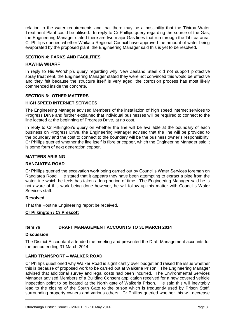relation to the water requirements and that there may be a possibility that the Tihiroa Water Treatment Plant could be utilised. In reply to Cr Phillips query regarding the source of the Gas, the Engineering Manager stated there are two major Gas lines that run through the Tihiroa area. Cr Phillips queried whether Waikato Regional Council have approved the amount of water being evaporated by the proposed plant, the Engineering Manager said this is yet to be resolved.

#### **SECTION 4: PARKS AND FACILITIES**

#### **KAWHIA WHARF**

In reply to His Worship's query regarding why New Zealand Steel did not support protective spray treatment, the Engineering Manager stated they were not convinced this would be effective and they felt because the structure itself is very aged, the corrosion process has most likely commenced inside the concrete.

#### **SECTION 6: OTHER MATTERS**

#### **HIGH SPEED INTERNET SERVICES**

The Engineering Manager advised Members of the installation of high speed internet services to Progress Drive and further explained that individual businesses will be required to connect to the line located at the beginning of Progress Drive, at no cost.

In reply to Cr Pilkington's query on whether the line will be available at the boundary of each business on Progress Drive, the Engineering Manager advised that the line will be provided to the boundary and the cost to connect to the boundary will be the business owner's responsibility. Cr Phillips queried whether the line itself is fibre or copper, which the Engineering Manager said it is some form of next generation copper.

#### **MATTERS ARISING**

#### **RANGIATEA ROAD**

Cr Phillips queried the excavation work being carried out by Council's Water Services foreman on Rangiatea Road. He stated that it appears they have been attempting to extract a pipe from the water line which he feels has taken a long period of time. The Engineering Manager said he is not aware of this work being done however, he will follow up this matter with Council's Water Services staff.

#### **Resolved**

That the Routine Engineering report be received.

#### **Cr Pilkington / Cr Prescott**

#### **Item 76 DRAFT MANAGEMENT ACCOUNTS TO 31 MARCH 2014**

#### **Discussion**

The District Accountant attended the meeting and presented the Draft Management accounts for the period ending 31 March 2014.

#### **LAND TRANSPORT – WALKER ROAD**

Cr Phillips questioned why Walker Road is significantly over budget and raised the issue whether this is because of proposed work to be carried out at Waikeria Prison. The Engineering Manager advised that additional survey and legal costs had been incurred. The Environmental Services Manager advised Members of a Building Consent application received for a new covered vehicle inspection point to be located at the North gate of Waikeria Prison. He said this will inevitably lead to the closing of the South Gate to the prison which is frequently used by Prison Staff, surrounding property owners and various others. Cr Phillips queried whether this will decrease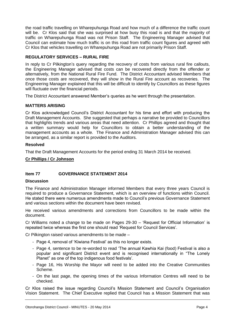the road traffic travelling on Wharepuhunga Road and how much of a difference the traffic count will be. Cr Klos said that she was surprised at how busy this road is and that the majority of traffic on Wharepuhunga Road was not Prison Staff. The Engineering Manager advised that Council can estimate how much traffic is on this road from traffic count figures and agreed with Cr Klos that vehicles travelling on Wharepuhunga Road are not primarily Prison Staff.

#### **REGULATORY SERVICES – RURAL FIRE**

In reply to Cr Pilkington's query regarding the recovery of costs from various rural fire callouts, the Engineering Manager advised that costs can be recovered directly from the offender or alternatively, from the National Rural Fire Fund. The District Accountant advised Members that once those costs are recovered, they will show in the Rural Fire account as recoveries. The Engineering Manager explained that this will be difficult to identify by Councillors as these figures will fluctuate over the financial periods.

The District Accountant answered Member's queries as he went through the presentation.

#### **MATTERS ARISING**

Cr Klos acknowledged Council's District Accountant for his time and effort with producing the Draft Management Accounts. She suggested that perhaps a narrative be provided to Councillors that highlights trends and various areas that need attention. Cr Phillips agreed and thought that a written summary would help for Councillors to obtain a better understanding of the management accounts as a whole. The Finance and Administration Manager advised this can be arranged, as a similar report is provided to the Auditors.

#### **Resolved**

That the Draft Management Accounts for the period ending 31 March 2014 be received.

#### **Cr Phillips / Cr Johnson**

#### **Item 77 GOVERNANCE STATEMENT 2014**

#### **Discussion**

The Finance and Administration Manager informed Members that every three years Council is required to produce a Governance Statement, which is an overview of functions within Council. He stated there were numerous amendments made to Council's previous Governance Statement and various sections within the document have been revised.

He received various amendments and corrections from Councillors to be made within the document.

Cr Williams noted a change to be made on Pages 29-30 – 'Request for Official Information' is repeated twice whereas the first one should read 'Request for Council Services'.

Cr Pilkington raised various amendments to be made –

- Page 4, removal of 'Kiwiana Festival' as this no longer exists.
- Page 4, sentence to be re-worded to read 'The annual Kawhia Kai (food) Festival is also a popular and significant District event and is recognised internationally in "The Lonely Planet" as one of the top indigenous food festivals'.
- Page 16, His Worship the Mayor will need to be added into the Creative Communities Scheme.
- On the last page, the opening times of the various Information Centres will need to be checked.

Cr Klos raised the issue regarding Council's Mission Statement and Council's Organisation Vision Statement. The Chief Executive replied that Council has a Mission Statement that was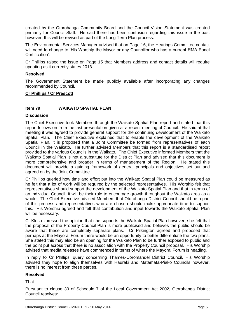created by the Otorohanga Community Board and the Council Vision Statement was created primarily for Council Staff. He said there has been confusion regarding this issue in the past however, this will be revised as part of the Long Term Plan process.

The Environmental Services Manager advised that on Page 16, the Hearings Committee contact will need to change to 'His Worship the Mayor or any Councillor who has a current RMA Panel Certification'.

Cr Phillips raised the issue on Page 15 that Members address and contact details will require updating as it currently states 2013.

#### **Resolved**

The Government Statement be made publicly available after incorporating any changes recommended by Council.

#### **Cr Phillips / Cr Prescott**

#### **Item 79 WAIKATO SPATIAL PLAN**

#### **Discussion**

The Chief Executive took Members through the Waikato Spatial Plan report and stated that this report follows on from the last presentation given at a recent meeting of Council. He said at that meeting it was agreed to provide general support for the continuing development of the Waikato Spatial Plan. The Chief Executive explained that to enable the development of the Waikato Spatial Plan, it is proposed that a Joint Committee be formed from representatives of each Council in the Waikato. He further advised Members that this report is a standardised report provided to the various Councils in the Waikato. The Chief Executive informed Members that the Waikato Spatial Plan is not a substitute for the District Plan and advised that this document is more comprehensive and broader in terms of management of the Region. He stated this document will provide a guiding framework of general principals and objectives set out and agreed on by the Joint Committee.

Cr Phillips queried how time and effort put into the Waikato Spatial Plan could be measured as he felt that a lot of work will be required by the selected representatives. His Worship felt that representatives should support the development of the Waikato Spatial Plan and that in terms of an individual Council, it will be their role to encourage growth throughout the Waikato area as a whole. The Chief Executive advised Members that Otorohanga District Council should be a part of this process and representatives who are chosen should make appropriate time to support this. His Worship agreed and felt that contribution and input towards the Waikato Spatial Plan will be necessary.

Cr Klos expressed the opinion that she supports the Waikato Spatial Plan however, she felt that the proposal of the Property Council Plan is more publicised and believes the public should be aware that these are completely separate plans. Cr Pilkington agreed and proposed that perhaps at the Mayoral Forum there would be an opportunity to better differentiate the two plans. She stated this may also be an opening for the Waikato Plan to be further exposed to public and the point put across that there is no association with the Property Council proposal. His Worship advised that media releases have commenced in terms of where the Mayoral Forum is heading.

In reply to Cr Phillips' query concerning Thames-Coromandel District Council, His Worship advised they hope to align themselves with Hauraki and Matamata-Piako Councils however, there is no interest from these parties.

#### **Resolved**

That –

Pursuant to clause 30 of Schedule 7 of the Local Government Act 2002, Otorohanga District Council resolves: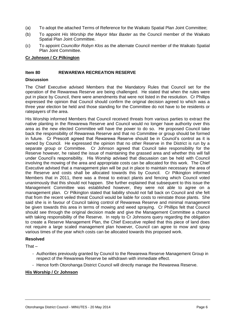- (a) To adopt the attached Terms of Reference for the Waikato Spatial Plan Joint Committee;
- (b) To appoint *His Worship the Mayor Max Baxter* as the Council member of the Waikato Spatial Plan Joint Committee.
- (c) To appoint *Councillor Robyn Klos* as the alternate Council member of the Waikato Spatial Plan Joint Committee.

#### **Cr Johnson / Cr Pilkington**

#### **Item 80 REWAREWA RECREATION RESERVE**

#### **Discussion**

The Chief Executive advised Members that the Mandatory Rules that Council set for the operation of the Rewarewa Reserve are being challenged. He stated that when the rules were put in place by Council, there were amendments that were not listed in the resolution. Cr Phillips expressed the opinion that Council should confirm the original decision agreed to which was a three year election be held and those standing for the Committee do not have to be residents or ratepayers of the area.

His Worship informed Members that Council received threats from various parties to extract the native planting in the Rewarewa Reserve and Council would no longer have authority over this area as the new elected Committee will have the power to do so. He proposed Council take back the responsibility of Rewarewa Reserve and that no Committee or group should be formed in future. Cr Prescott agreed that Rewarewa Reserve should be in Council's control as it is owned by Council. He expressed the opinion that no other Reserve in the District is run by a separate group or Committee. Cr Johnson agreed that Council take responsibility for the Reserve however, he raised the issue of maintaining the grassed area and whether this will fall under Council's responsibility. His Worship advised that discussion can be held with Council involving the mowing of the area and appropriate costs can be allocated for this work. The Chief Executive advised that a management plan will be put in place to maintain necessary the area of the Reserve and costs shall be allocated towards this by Council. Cr Pilkington informed Members that in 2011, there was a threat to extract plants and fencing which Council voted unanimously that this should not happen. She further explained that subsequent to this issue the Management Committee was established however, they were not able to agree on a management plan. Cr Pilkington stated that liability should not fall back on Council and she felt that from the recent veiled threat Council would be liable for costs to reinstate those plants. She said she is in favour of Council taking control of Rewarewa Reserve and minimal management be given towards this area in terms of mowing and weed spraying. Cr Phillips felt that Council should see through the original decision made and give the Management Committee a chance with taking responsibility of the Reserve. In reply to Cr Johnsons query regarding the obligation to create a Reserve Management Plan, the Chief Executive replied that this piece of land does not require a large scaled management plan however, Council can agree to mow and spray various times of the year which costs can be allocated towards this proposed work.

#### **Resolved**

That –

- Authorities previously granted by Council to the Rewarewa Reserve Management Group in respect of the Rewarewa Reserve be withdrawn with immediate effect.
- Hence forth Otorohanga District Council will directly manage the Rewarewa Reserve.

#### **His Worship / Cr Johnson**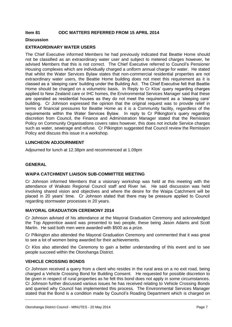#### **Item 81 ODC MATTERS REFERRED FROM 15 APRIL 2014**

#### **Discussion**

#### **EXTRAORDINARY WATER USERS**

The Chief Executive informed Members he had previously indicated that Beattie Home should not be classified as an extraordinary water user and subject to metered charges however, he advised Members that this is not correct. The Chief Executive referred to Council's Pensioner Housing complexes which are individually charged a uniform annual charge for water. He stated that whilst the Water Services Bylaw states that non-commercial residential properties are not extraordinary water users, the Beattie Home building does not meet this requirement as it is classed as a 'sleeping care' building under the Building Act. The Chief Executive felt that Beattie Home should be charged on a volumetric basis. In Reply to Cr Klos' query regarding charges applied to New Zealand care or IHC homes, the Environmental Services Manager said that these are operated as residential houses as they do not meet the requirement as a 'sleeping care' building. Cr Johnson expressed the opinion that the original request was to provide relief in terms of financial pressures for Beattie Home as it is a Community facility, regardless of the requirements within the Water Services Bylaw. In reply to Cr Pilkington's query regarding discretion from Council, the Finance and Administration Manager stated that the Remission Policy on Community Organisations covers rates however, this does not include Service charges such as water, sewerage and refuse. Cr Pilkington suggested that Council review the Remission Policy and discuss this issue in a workshop.

#### **LUNCHEON ADJOURNMENT**

Adjourned for lunch at 12.38pm and recommenced at 1.09pm

#### **GENERAL**

#### **WAIPA CATCHMENT LIAISON SUB-COMMITTEE MEETING**

Cr Johnson informed Members that a visionary workshop was held at this meeting with the attendance of Waikato Regional Council staff and River Iwi. He said discussion was held involving shared vision and objectives and where the desire for the Waipa Catchment will be placed in 20 years' time. Cr Johnson stated that there may be pressure applied to Council regarding stormwater processes in 20 years.

#### **MAYORAL GRADUATION CEREMONY 2014**

Cr Johnson advised of his attendance at the Mayoral Graduation Ceremony and acknowledged the Top Apprentice award was presented to two people, these being Jason Adams and Scott Martin. He said both men were awarded with \$500 as a prize.

Cr Pilkington also attended the Mayoral Graduation Ceremony and commented that it was great to see a lot of women being awarded for their achievements.

Cr Klos also attended the Ceremony to gain a better understanding of this event and to see people succeed within the Otorohanga District.

#### **VEHICLE CROSSING BONDS**

Cr Johnson received a query from a client who resides in the rural area on a no exit road, being charged a Vehicle Crossing Bond for Building Consent. He requested for possible discretion to be given in respect of rural properties as he felt this bond does not apply in some circumstances. Cr Johnson further discussed various issues he has received relating to Vehicle Crossing Bonds and queried why Council has implemented this process. The Environmental Services Manager stated that the Bond is a condition made by Council's Roading Department which is charged on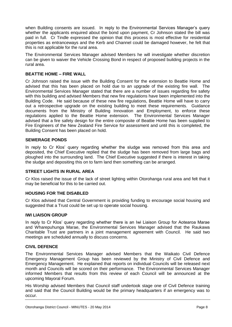when Building consents are issued. In reply to the Environmental Services Manager's query whether the applicants enquired about the bond upon payment, Cr Johnson stated the bill was paid in full. Cr Tindle expressed the opinion that this process is most effective for residential properties as entranceways and the Kerb and Channel could be damaged however, he felt that this is not applicable for the rural area.

The Environmental Services Manager advised Members he will investigate whether discretion can be given to waiver the Vehicle Crossing Bond in respect of proposed building projects in the rural area.

#### **BEATTIE HOME – FIRE WALL**

Cr Johnson raised the issue with the Building Consent for the extension to Beattie Home and advised that this has been placed on hold due to an upgrade of the existing fire wall. The Environmental Services Manager stated that there are a number of issues regarding fire safety with this building and advised Members that new fire regulations have been implemented into the Building Code. He said because of these new fire regulations, Beattie Home will have to carry out a retrospective upgrade on the existing building to meet these requirements. Guidance documents from the Ministry of Building Innovation and Employment, to enforce these regulations applied to the Beattie Home extension. The Environmental Services Manager advised that a fire safety design for the entire composite of Beattie Home has been supplied to Fire Engineers of the New Zealand Fire Service for assessment and until this is completed, the Building Consent has been placed on hold.

#### **SEWERAGE PONDS**

In reply to Cr Klos' query regarding whether the sludge was removed from this area and deposited, the Chief Executive replied that the sludge has been removed from large bags and ploughed into the surrounding land. The Chief Executive suggested if there is interest in taking the sludge and depositing this on to farm land then something can be arranged.

#### **STREET LIGHTS IN RURAL AREA**

Cr Klos raised the issue of the lack of street lighting within Otorohanga rural area and felt that it may be beneficial for this to be carried out.

#### **HOUSING FOR THE DISABLED**

Cr Klos advised that Central Government is providing funding to encourage social housing and suggested that a Trust could be set up to operate social housing.

#### **IWI LIAISON GROUP**

In reply to Cr Klos' query regarding whether there is an Iwi Liaison Group for Aotearoa Marae and Wharepuhunga Marae, the Environmental Services Manager advised that the Raukawa Charitable Trust are partners in a joint management agreement with Council. He said two meetings are scheduled annually to discuss concerns.

#### **CIVIL DEFENCE**

The Environmental Services Manager advised Members that the Waikato Civil Defence Emergency Management Group has been reviewed by the Ministry of Civil Defence and Emergency Management. He explained that reports on individual Councils will be released next month and Councils will be scored on their performance. The Environmental Services Manager informed Members that results from this review of each Council will be announced at the upcoming Mayoral Forum.

His Worship advised Members that Council staff undertook stage one of Civil Defence training and said that the Council Building would be the primary headquarters if an emergency was to occur.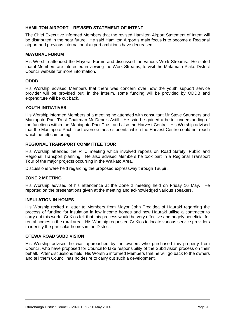#### **HAMILTON AIRPORT – REVISED STATEMENT OF INTENT**

The Chief Executive informed Members that the revised Hamilton Airport Statement of Intent will be distributed in the near future. He said Hamilton Airport's main focus is to become a Regional airport and previous international airport ambitions have decreased.

#### **MAYORAL FORUM**

His Worship attended the Mayoral Forum and discussed the various Work Streams. He stated that if Members are interested in viewing the Work Streams, to visit the Matamata-Piako District Council website for more information.

#### **ODDB**

His Worship advised Members that there was concern over how the youth support service provider will be provided but, in the interim, some funding will be provided by ODDB and expenditure will be cut back.

#### **YOUTH INITIATIVES**

His Worship informed Members of a meeting he attended with consultant Mr Steve Saunders and Maniapoto Pact Trust Chairman Mr Dennis Astill. He said he gained a better understanding of the functions within the Maniapoto Pact Trust and also the Harvest Centre. His Worship advised that the Maniapoto Pact Trust oversee those students which the Harvest Centre could not reach which he felt comforting.

#### **REGIONAL TRANSPORT COMMITTEE TOUR**

His Worship attended the RTC meeting which involved reports on Road Safety, Public and Regional Transport planning. He also advised Members he took part in a Regional Transport Tour of the major projects occurring in the Waikato Area.

Discussions were held regarding the proposed expressway through Taupiri.

#### **ZONE 2 MEETING**

His Worship advised of his attendance at the Zone 2 meeting held on Friday 16 May. He reported on the presentations given at the meeting and acknowledged various speakers.

#### **INSULATION IN HOMES**

His Worship recited a letter to Members from Mayor John Tregidga of Hauraki regarding the process of funding for insulation in low income homes and how Hauraki utilise a contractor to carry out this work. Cr Klos felt that this process would be very effective and hugely beneficial for rental homes in the rural area. His Worship requested Cr Klos to locate various service providers to identify the particular homes in the District.

#### **OTEWA ROAD SUBDIVISION**

His Worship advised he was approached by the owners who purchased this property from Council, who have proposed for Council to take responsibility of the Subdivision process on their behalf. After discussions held, His Worship informed Members that he will go back to the owners and tell them Council has no desire to carry out such a development.